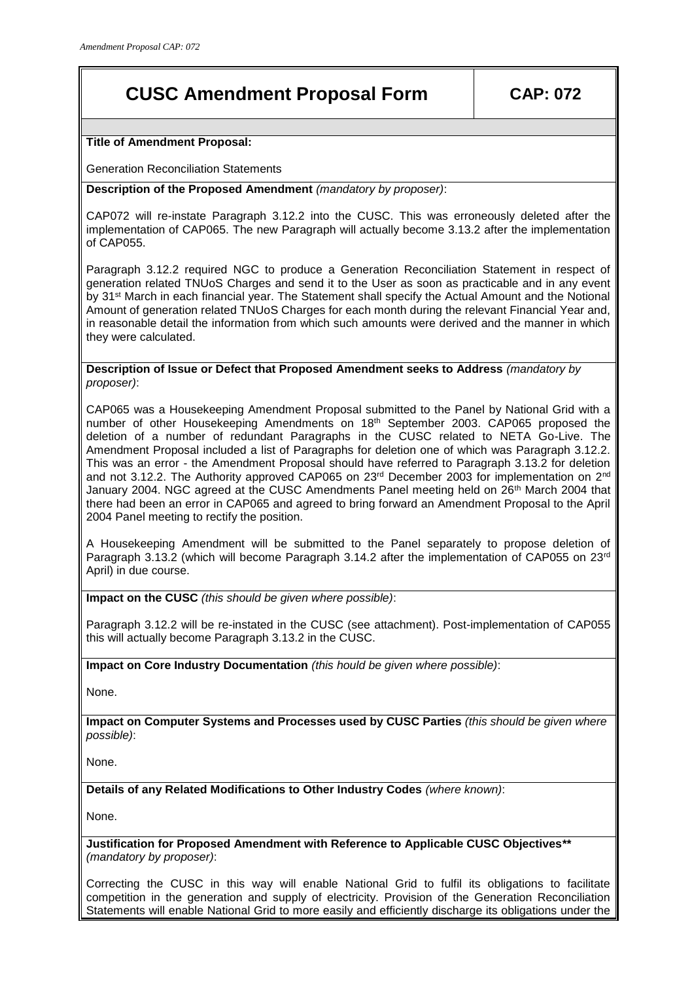## **CUSC Amendment Proposal Form CAP: 072**

**Title of Amendment Proposal:**

Generation Reconciliation Statements

**Description of the Proposed Amendment** *(mandatory by proposer)*:

CAP072 will re-instate Paragraph 3.12.2 into the CUSC. This was erroneously deleted after the implementation of CAP065. The new Paragraph will actually become 3.13.2 after the implementation of CAP055.

Paragraph 3.12.2 required NGC to produce a Generation Reconciliation Statement in respect of generation related TNUoS Charges and send it to the User as soon as practicable and in any event by 31st March in each financial year. The Statement shall specify the Actual Amount and the Notional Amount of generation related TNUoS Charges for each month during the relevant Financial Year and, in reasonable detail the information from which such amounts were derived and the manner in which they were calculated.

**Description of Issue or Defect that Proposed Amendment seeks to Address** *(mandatory by proposer)*:

CAP065 was a Housekeeping Amendment Proposal submitted to the Panel by National Grid with a number of other Housekeeping Amendments on 18th September 2003. CAP065 proposed the deletion of a number of redundant Paragraphs in the CUSC related to NETA Go-Live. The Amendment Proposal included a list of Paragraphs for deletion one of which was Paragraph 3.12.2. This was an error - the Amendment Proposal should have referred to Paragraph 3.13.2 for deletion and not 3.12.2. The Authority approved CAP065 on 23<sup>rd</sup> December 2003 for implementation on 2<sup>nd</sup> January 2004. NGC agreed at the CUSC Amendments Panel meeting held on 26<sup>th</sup> March 2004 that there had been an error in CAP065 and agreed to bring forward an Amendment Proposal to the April 2004 Panel meeting to rectify the position.

A Housekeeping Amendment will be submitted to the Panel separately to propose deletion of Paragraph 3.13.2 (which will become Paragraph 3.14.2 after the implementation of CAP055 on 23rd April) in due course.

**Impact on the CUSC** *(this should be given where possible)*:

Paragraph 3.12.2 will be re-instated in the CUSC (see attachment). Post-implementation of CAP055 this will actually become Paragraph 3.13.2 in the CUSC.

**Impact on Core Industry Documentation** *(this hould be given where possible)*:

None.

**Impact on Computer Systems and Processes used by CUSC Parties** *(this should be given where possible)*:

None.

**Details of any Related Modifications to Other Industry Codes** *(where known)*:

None.

**Justification for Proposed Amendment with Reference to Applicable CUSC Objectives\*\***  *(mandatory by proposer)*:

Correcting the CUSC in this way will enable National Grid to fulfil its obligations to facilitate competition in the generation and supply of electricity. Provision of the Generation Reconciliation Statements will enable National Grid to more easily and efficiently discharge its obligations under the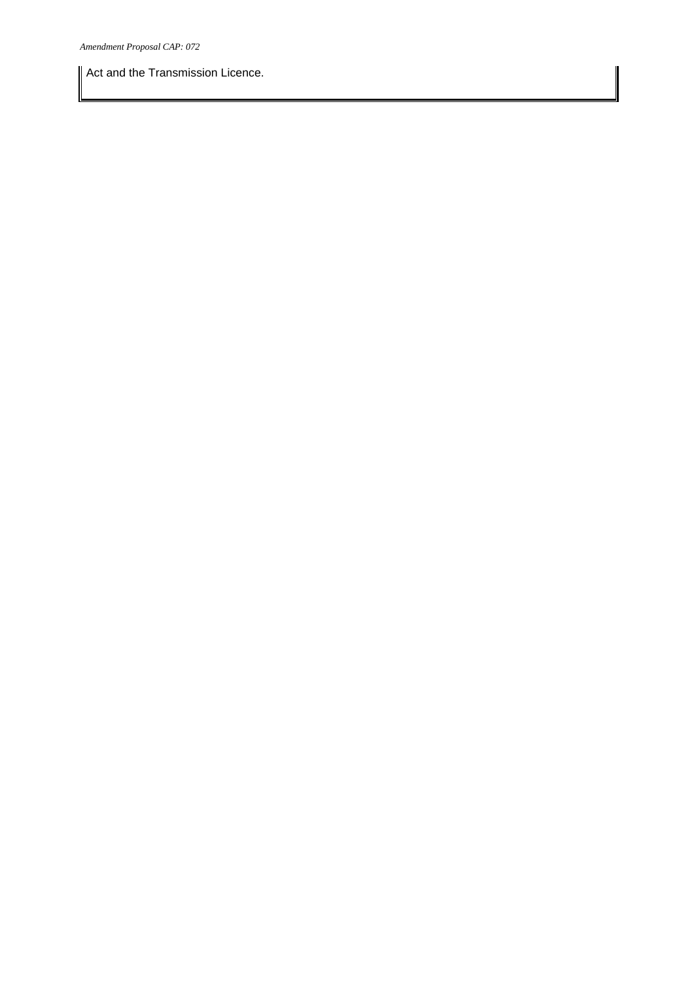Act and the Transmission Licence.П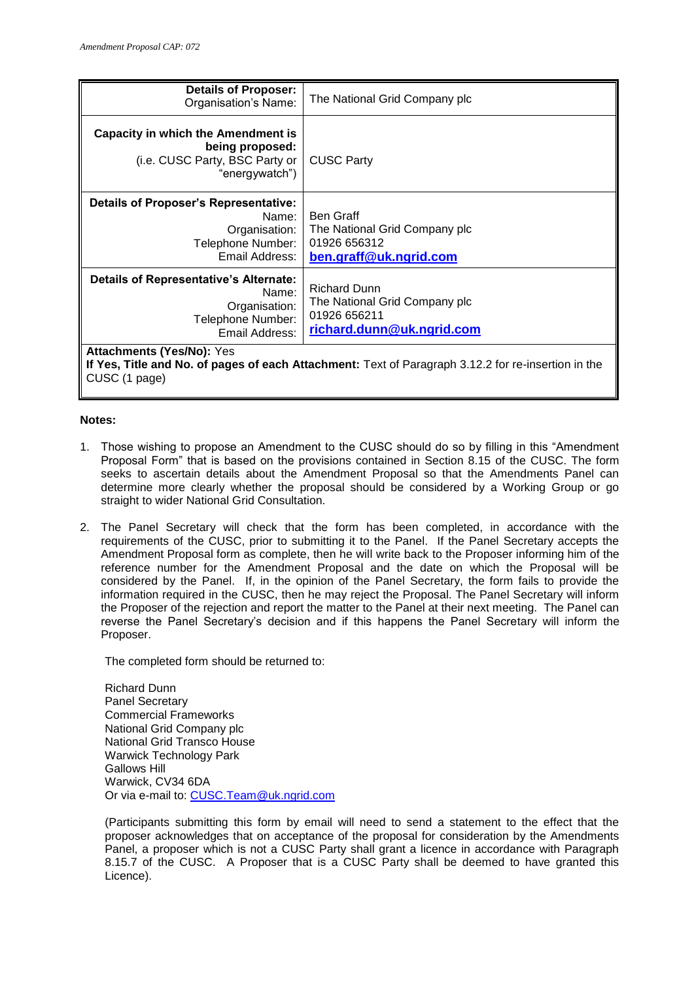| <b>Details of Proposer:</b><br>Organisation's Name:                                                                                                      | The National Grid Company plc                                                                     |
|----------------------------------------------------------------------------------------------------------------------------------------------------------|---------------------------------------------------------------------------------------------------|
| Capacity in which the Amendment is<br>being proposed:<br>(i.e. CUSC Party, BSC Party or<br>"energywatch")                                                | <b>CUSC Party</b>                                                                                 |
| <b>Details of Proposer's Representative:</b><br>Name:<br>Organisation:<br>Telephone Number:<br>Email Address:                                            | <b>Ben Graff</b><br>The National Grid Company plc<br>01926 656312<br>ben.graff@uk.ngrid.com       |
| <b>Details of Representative's Alternate:</b><br>Name:<br>Organisation:<br>Telephone Number:<br>Email Address:                                           | <b>Richard Dunn</b><br>The National Grid Company plc<br>01926 656211<br>richard.dunn@uk.ngrid.com |
| <b>Attachments (Yes/No): Yes</b><br>If Yes, Title and No. of pages of each Attachment: Text of Paragraph 3.12.2 for re-insertion in the<br>CUSC (1 page) |                                                                                                   |

## **Notes:**

- 1. Those wishing to propose an Amendment to the CUSC should do so by filling in this "Amendment Proposal Form" that is based on the provisions contained in Section 8.15 of the CUSC. The form seeks to ascertain details about the Amendment Proposal so that the Amendments Panel can determine more clearly whether the proposal should be considered by a Working Group or go straight to wider National Grid Consultation.
- 2. The Panel Secretary will check that the form has been completed, in accordance with the requirements of the CUSC, prior to submitting it to the Panel. If the Panel Secretary accepts the Amendment Proposal form as complete, then he will write back to the Proposer informing him of the reference number for the Amendment Proposal and the date on which the Proposal will be considered by the Panel. If, in the opinion of the Panel Secretary, the form fails to provide the information required in the CUSC, then he may reject the Proposal. The Panel Secretary will inform the Proposer of the rejection and report the matter to the Panel at their next meeting. The Panel can reverse the Panel Secretary's decision and if this happens the Panel Secretary will inform the Proposer.

The completed form should be returned to:

Richard Dunn Panel Secretary Commercial Frameworks National Grid Company plc National Grid Transco House Warwick Technology Park Gallows Hill Warwick, CV34 6DA Or via e-mail to: [CUSC.Team@uk.ngrid.com](mailto:CUSC.Team@uk.ngrid.com)

(Participants submitting this form by email will need to send a statement to the effect that the proposer acknowledges that on acceptance of the proposal for consideration by the Amendments Panel, a proposer which is not a CUSC Party shall grant a licence in accordance with Paragraph 8.15.7 of the CUSC. A Proposer that is a CUSC Party shall be deemed to have granted this Licence).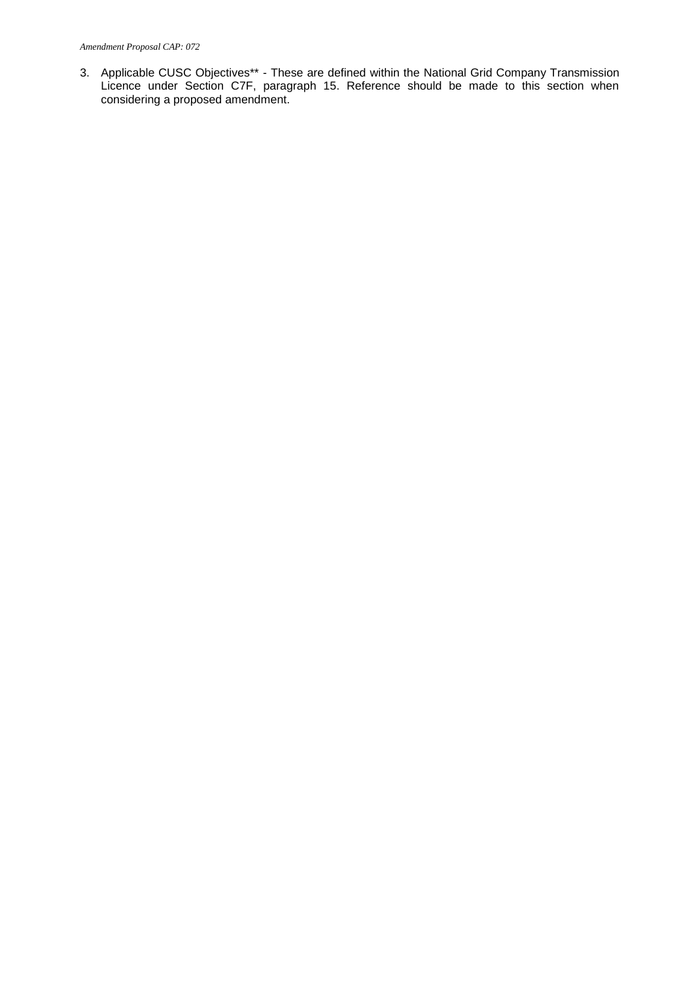3. Applicable CUSC Objectives\*\* - These are defined within the National Grid Company Transmission Licence under Section C7F, paragraph 15. Reference should be made to this section when considering a proposed amendment.